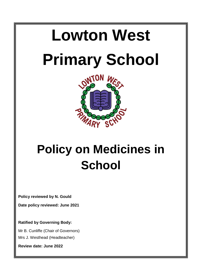



# **Policy on Medicines in School**

**Policy reviewed by N. Gould**

**Date policy reviewed: June 2021**

**Ratified by Governing Body:**

Mr B. Cunliffe (Chair of Governors)

Mrs J. Westhead (Headteacher)

**Review date: June 2022**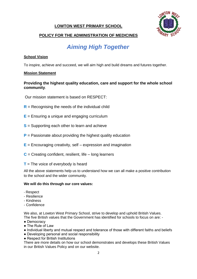# **LOWTON WEST PRIMARY SCHOOL**



# **POLICY FOR THE ADMINISTRATION OF MEDICINES**

# *Aiming High Together*

#### **School Vision**

To inspire, achieve and succeed, we will aim high and build dreams and futures together.

#### **Mission Statement**

# **Providing the highest quality education, care and support for the whole school community**.

Our mission statement is based on RESPECT:

- **R** = Recognising the needs of the individual child
- **E** = Ensuring a unique and engaging curriculum
- **S** = Supporting each other to learn and achieve
- **P** = Passionate about providing the highest quality education
- **E** = Encouraging creativity, self expression and imagination
- **C** = Creating confident, resilient, life long learners

#### **T** = The voice of everybody is heard

All the above statements help us to understand how we can all make a positive contribution to the school and the wider community.

#### **We will do this through our core values:**

- Respect
- Resilience
- Kindness
- Confidence

We also, at Lowton West Primary School, strive to develop and uphold British Values. The five British values that the Government has identified for schools to focus on are: -

- Democracy
- The Rule of Law
- Individual liberty and mutual respect and tolerance of those with different faiths and beliefs
- Developing personal and social responsibility
- Respect for British Institutions

There are more details on how our school demonstrates and develops these British Values in our British Values Policy and on our website.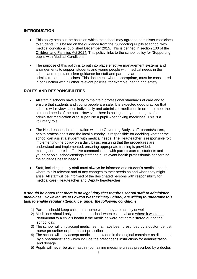# **INTRODUCTION**

- This policy sets out the basis on which the school may agree to administer medicines to students. It is based on the guidance from the 'Supporting Pupils at school with medical conditions' published December 2015. This is defined in section 100 of the Children and Families Act 2014. This policy links to the school policy for 'Supporting pupils with Medical Conditions.'
- The purpose of this policy is to put into place effective management systems and arrangements to support students and young people with medical needs in the school and to provide clear guidance for staff and parents/carers on the administration of medicines. This document, where appropriate, must be considered in conjunction with all other relevant policies, for example, health and safety.

# **ROLES AND RESPONSIBILITIES**

- All staff in schools have a duty to maintain professional standards of care and to ensure that students and young people are safe. It is expected good practice that schools will review cases individually and administer medicines in order to meet the all round needs of the pupil. However, there is no legal duty requiring staff to administer medication or to supervise a pupil when taking medicines. This is a voluntary role.
- The Headteacher, in consultation with the Governing Body, staff, parents/carers, health professionals and the local authority, is responsible for deciding whether the school can assist a student with medical needs. The Headteacher is responsible for: implementing the policy on a daily basis; ensuring that the procedures are understood and implemented; ensuring appropriate training is provided; making sure there is effective communication with parents/carers, students and young people, school/settings staff and all relevant health professionals concerning the student's health needs.
- Staff, including supply staff must always be informed of a student's medical needs where this is relevant and of any changes to their needs as and when they might arise. All staff will be informed of the designated persons with responsibility for medical care (Headteacher and Deputy headteacher).

#### *It should be noted that there is no legal duty that requires school staff to administer medicines. However, we at Lowton West Primary School, are willing to undertake this task to enable regular attendance, under the following conditions:*

- 1) Parents should keep children at home when they are acutely unwell.
- 2) Medicines should only be taken to school when essential and where it would be detrimental to a child's health if the medicine were not administered during the school day.
- 3) The school will only accept medicines that have been prescribed by a doctor, dentist, nurse prescriber or pharmacist prescriber.
- 4) The school will only accept medicines provided in the original container as dispensed by a pharmacist and which include the prescriber's instructions for administration and dosage.
- 5) Pupils will never be given aspirin-containing medicine unless prescribed by a doctor.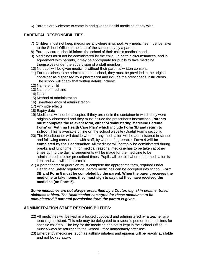6) Parents are welcome to come in and give their child medicine if they wish.

#### **PARENTAL RESPONSIBILITIES:**

- 7) Children must not keep medicines anywhere in school. Any medicines must be taken to the School Office at the start of the school day by a parent.
- 8) Parents/ carers should inform the school of their child's medical needs.
- 9) Medicines must not be administered by the child. In certain circumstances, and in agreement with parents, it may be appropriate for pupils to take medicine themselves under the supervision of a staff member.
- 10) No pupil will be given medicine without their parent's written consent.
- 11) For medicines to be administered in school, they must be provided in the original container as dispensed by a pharmacist and include the prescriber's instructions. The school will check that written details include:
- 12) Name of child
- 13) Name of medicine
- 14) Dose
- 15) Method of administration
- 16) Time/frequency of administration
- 17) Any side effects
- 18) Expiry date
- 19) Medicines will not be accepted if they are not in the container in which they were originally dispensed and they must include the prescriber's instructions. **Parents must complete the relevant form, either 'Administering Medicine Parental Form' or 'Asthma Health Care Plan' which include Form 3B and return to school.** This is available online on the school website (Useful Forms section).
- 20) The Headteacher will decide whether any medication will be administered in school and following consultation with staff, by whom. If agreeable, **Form 4 will be completed by the Headteacher.** All medicine will normally be administered during breaks and lunchtime. If, for medical reasons, medicine has to be taken at other times during the day, arrangements will be made for the medicine to be administered at other prescribed times. Pupils will be told where their medication is kept and who will administer it.
- 21) A parent/carer or guardian must complete the appropriate form, required under Health and Safety regulations, before medicines can be accepted into school. **Form 3B and Form 5 must be completed by the parent. When the parent receives the medicine to take home, they must sign to say that they have received the medicine (on Form 5).**

*Some medicines are not always prescribed by a Doctor, e.g. skin creams, travel sickness tablets. The Headteacher can agree for these medicines to be administered if parental permission from the parent is given.*

#### **ADMINISTRATION STAFF RESPONSIBILITIES:**

- 22) All medicines will be kept in a locked cupboard and administered by a teacher or a teaching assistant. This role may be delegated to a specific person for medicines for specific children. The key for the medicine cabinet is kept in the School Office. It must always be returned to the School Office immediately after use.
- 23) Emergency medicines, such as asthma inhalers and epipens will be readily available and not locked away.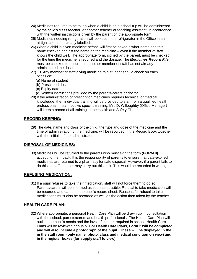- 24) Medicines required to be taken when a child is on a school trip will be administered by the child's class teacher, or another teacher or teaching assistant, in accordance with the written instructions given by the parent on the appropriate form.
- 25) Medicines needing refrigeration will be kept in the refrigerator in the Office in an airtight container, clearly labelled.
- 26) When a child is given medicine he/she will first be asked his/her name and this name checked against the name on the medicine – even if the member of staff knows the child well. The appropriate form, signed by the parent, must be checked for the time the medicine is required and the dosage. The *Medicines Record File* must be checked to ensure that another member of staff has not already administered the dose.
- 27) 13. Any member of staff giving medicine to a student should check on each occasion:
	- (a) Name of student
	- (b) Prescribed dose
	- (c) Expiry date
	- (d) Written instructions provided by the parents/carers or doctor
- 28) If the administration of prescription medicines requires technical or medical knowledge, then individual training will be provided to staff from a qualified health professional. If staff receive specific training, Mrs D. Willoughby (Office Manager) will keep a record of all training in the Health and Safety File.

#### **RECORD KEEPING:**

29) The date, name and class of the child, the type and dose of the medicine and the time of administration of the medicine, will be recorded in the Record Book together with the initials of the administrator.

#### **DISPOSAL OF MEDICINES:**

30) Medicines will be returned to the parents who must sign the form (**FORM 9)**  accepting them back. It is the responsibility of parents to ensure that date-expired medicines are returned to a pharmacy for safe disposal. However, if a parent fails to do this, a staff member may carry out this task. This would be recorded in writing.

#### **REFUSING MEDICATION:**

31) If a pupil refuses to take their medication, staff will not force them to do so. Parents/carers will be informed as soon as possible. Refusal to take medication will be recorded and dated on the pupil's record sheet. Reasons for refusal to take medications must also be recorded as well as the action then taken by the teacher.

# **HEALTH CARE PLAN:**

32) Where appropriate, a personal Health Care Plan will be drawn up in consultation with the school, parents/carers and health professionals. The Health Care Plan will outline the pupil's needs and the level of support required in school. Health Care Plans will be reviewed annually. **For Health Care Plans, Form 2 will be completed and will also include a photograph of the pupil. These will be displayed in the in the staff room (only name, photo, class and medical condition on view) and in the register boxes (for supply staff to view).**